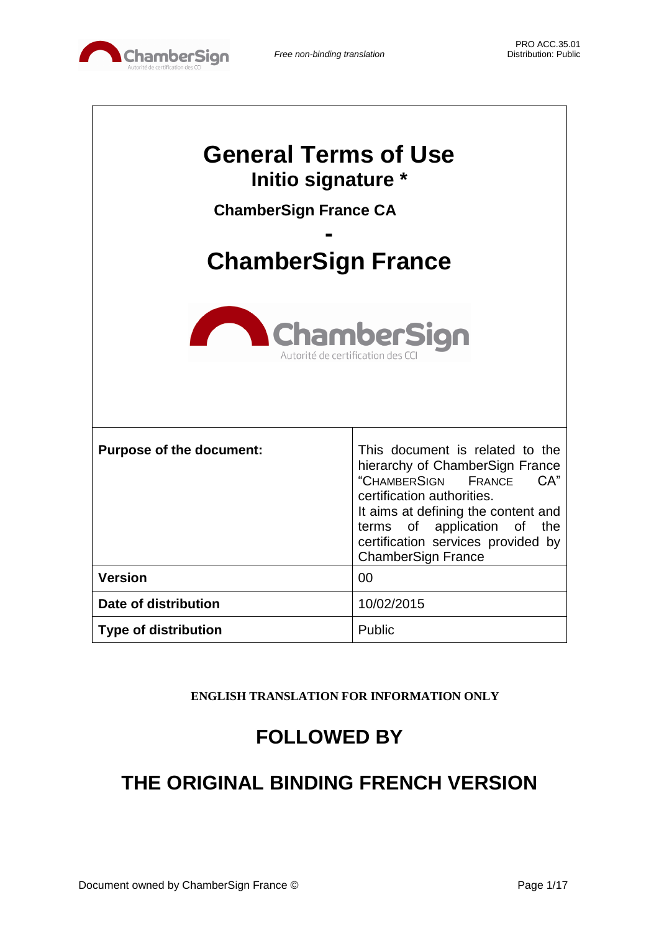

| <b>General Terms of Use</b><br>Initio signature *<br><b>ChamberSign France CA</b><br><b>ChamberSign France</b><br><b>ChamberSign</b><br>Autorité de certification des CC |                                                                                                                                                                                                                                                                               |  |
|--------------------------------------------------------------------------------------------------------------------------------------------------------------------------|-------------------------------------------------------------------------------------------------------------------------------------------------------------------------------------------------------------------------------------------------------------------------------|--|
| <b>Purpose of the document:</b>                                                                                                                                          | This document is related to the<br>hierarchy of ChamberSign France<br>"CHAMBERSIGN<br>CA"<br>FRANCE<br>certification authorities.<br>It aims at defining the content and<br>terms of application of<br>the<br>certification services provided by<br><b>ChamberSign France</b> |  |
| <b>Version</b>                                                                                                                                                           | 00                                                                                                                                                                                                                                                                            |  |
| Date of distribution                                                                                                                                                     | 10/02/2015                                                                                                                                                                                                                                                                    |  |
| <b>Type of distribution</b>                                                                                                                                              | Public                                                                                                                                                                                                                                                                        |  |

**ENGLISH TRANSLATION FOR INFORMATION ONLY**

# **FOLLOWED BY**

# **THE ORIGINAL BINDING FRENCH VERSION**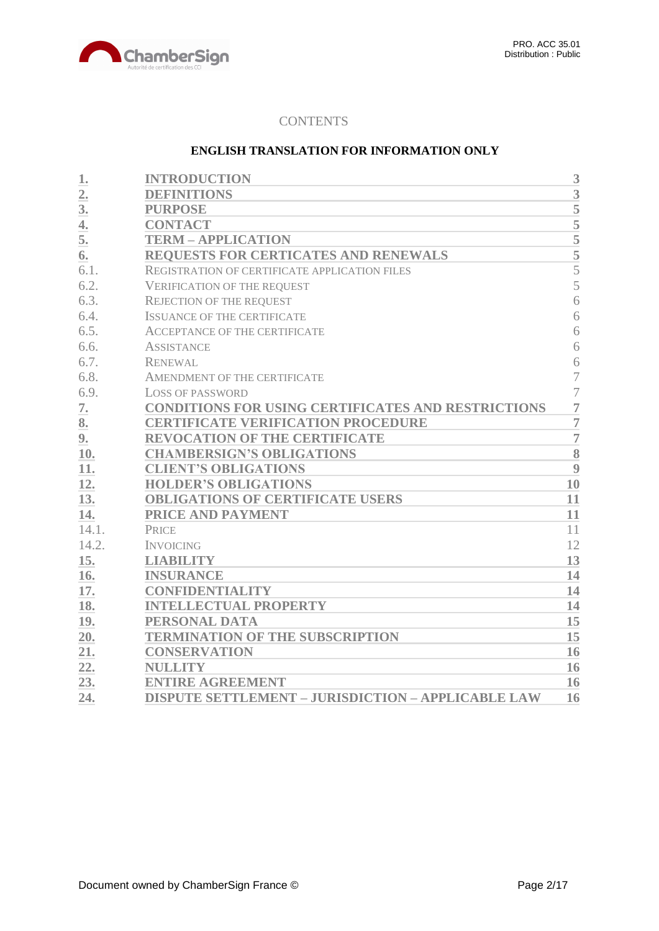

## **CONTENTS**

## **ENGLISH TRANSLATION FOR INFORMATION ONLY**

| 1.               | <b>INTRODUCTION</b>                                       | 3              |
|------------------|-----------------------------------------------------------|----------------|
| $\overline{2}$ . | <b>DEFINITIONS</b>                                        | 3              |
| 3 <sub>l</sub>   | <b>PURPOSE</b>                                            | 5              |
| 4.               | <b>CONTACT</b>                                            | $\overline{5}$ |
| 5.               | <b>TERM - APPLICATION</b>                                 |                |
| 6.               | REQUESTS FOR CERTICATES AND RENEWALS                      | $\frac{5}{5}$  |
| 6.1.             | REGISTRATION OF CERTIFICATE APPLICATION FILES             | $\overline{5}$ |
| 6.2.             | <b>VERIFICATION OF THE REQUEST</b>                        | 5              |
| 6.3.             | <b>REJECTION OF THE REQUEST</b>                           | 6              |
| 6.4.             | <b>ISSUANCE OF THE CERTIFICATE</b>                        | 6              |
| 6.5.             | <b>ACCEPTANCE OF THE CERTIFICATE</b>                      | 6              |
| 6.6.             | <b>ASSISTANCE</b>                                         | 6              |
| 6.7.             | <b>RENEWAL</b>                                            | 6              |
| 6.8.             | AMENDMENT OF THE CERTIFICATE                              | $\overline{7}$ |
| 6.9.             | <b>LOSS OF PASSWORD</b>                                   | $\overline{7}$ |
| 7.               | <b>CONDITIONS FOR USING CERTIFICATES AND RESTRICTIONS</b> | $\overline{7}$ |
| 8.               | <b>CERTIFICATE VERIFICATION PROCEDURE</b>                 | $\overline{7}$ |
| 9.               | <b>REVOCATION OF THE CERTIFICATE</b>                      | $\overline{7}$ |
| 10.              | <b>CHAMBERSIGN'S OBLIGATIONS</b>                          | 8              |
| 11.              | <b>CLIENT'S OBLIGATIONS</b>                               | 9              |
| 12.              | <b>HOLDER'S OBLIGATIONS</b>                               | 10             |
| 13.              | <b>OBLIGATIONS OF CERTIFICATE USERS</b>                   | 11             |
| 14.              | PRICE AND PAYMENT                                         | 11             |
| 14.1.            | <b>PRICE</b>                                              | 11             |
| 14.2.            | <b>INVOICING</b>                                          | 12             |
| 15.              | <b>LIABILITY</b>                                          | 13             |
| 16.              | <b>INSURANCE</b>                                          | 14             |
| 17.              | <b>CONFIDENTIALITY</b>                                    | 14             |
| 18.              | <b>INTELLECTUAL PROPERTY</b>                              | 14             |
| 19.              | PERSONAL DATA                                             | 15             |
| 20.              | <b>TERMINATION OF THE SUBSCRIPTION</b>                    | 15             |
| 21.              | <b>CONSERVATION</b>                                       | 16             |
| 22.              | <b>NULLITY</b>                                            | 16             |
| 23.              | <b>ENTIRE AGREEMENT</b>                                   | 16             |
| 24.              | <b>DISPUTE SETTLEMENT - JURISDICTION - APPLICABLE LAW</b> | 16             |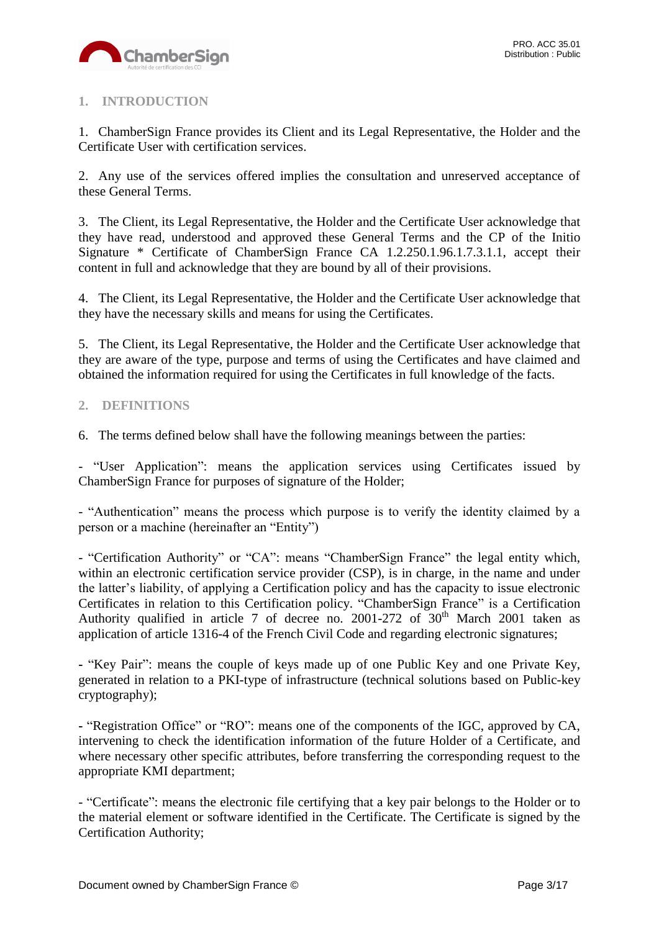

# <span id="page-2-0"></span>**1. INTRODUCTION**

1. ChamberSign France provides its Client and its Legal Representative, the Holder and the Certificate User with certification services.

2. Any use of the services offered implies the consultation and unreserved acceptance of these General Terms.

3. The Client, its Legal Representative, the Holder and the Certificate User acknowledge that they have read, understood and approved these General Terms and the CP of the Initio Signature \* Certificate of ChamberSign France CA 1.2.250.1.96.1.7.3.1.1, accept their content in full and acknowledge that they are bound by all of their provisions.

4. The Client, its Legal Representative, the Holder and the Certificate User acknowledge that they have the necessary skills and means for using the Certificates.

5. The Client, its Legal Representative, the Holder and the Certificate User acknowledge that they are aware of the type, purpose and terms of using the Certificates and have claimed and obtained the information required for using the Certificates in full knowledge of the facts.

## <span id="page-2-1"></span>**2. DEFINITIONS**

6. The terms defined below shall have the following meanings between the parties:

- "User Application": means the application services using Certificates issued by ChamberSign France for purposes of signature of the Holder;

- "Authentication" means the process which purpose is to verify the identity claimed by a person or a machine (hereinafter an "Entity")

- "Certification Authority" or "CA": means "ChamberSign France" the legal entity which, within an electronic certification service provider (CSP), is in charge, in the name and under the latter's liability, of applying a Certification policy and has the capacity to issue electronic Certificates in relation to this Certification policy. "ChamberSign France" is a Certification Authority qualified in article 7 of decree no. 2001-272 of  $30<sup>th</sup>$  March 2001 taken as application of article 1316-4 of the French Civil Code and regarding electronic signatures;

**-** "Key Pair": means the couple of keys made up of one Public Key and one Private Key, generated in relation to a PKI-type of infrastructure (technical solutions based on Public-key cryptography);

**-** "Registration Office" or "RO": means one of the components of the IGC, approved by CA, intervening to check the identification information of the future Holder of a Certificate, and where necessary other specific attributes, before transferring the corresponding request to the appropriate KMI department;

- "Certificate": means the electronic file certifying that a key pair belongs to the Holder or to the material element or software identified in the Certificate. The Certificate is signed by the Certification Authority;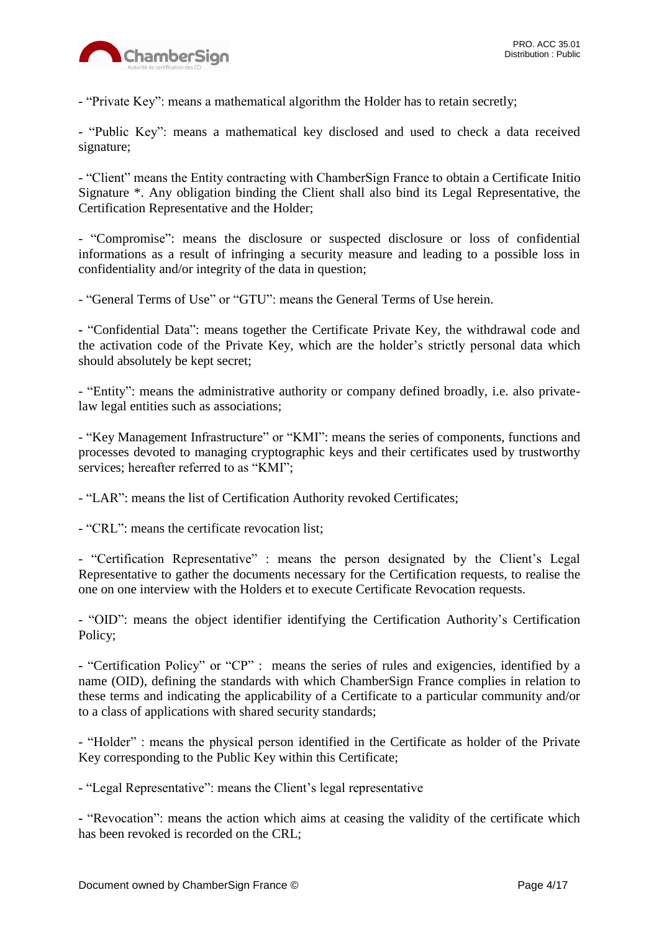

- "Private Key": means a mathematical algorithm the Holder has to retain secretly;

- "Public Key": means a mathematical key disclosed and used to check a data received signature;

- "Client" means the Entity contracting with ChamberSign France to obtain a Certificate Initio Signature \*. Any obligation binding the Client shall also bind its Legal Representative, the Certification Representative and the Holder;

- "Compromise": means the disclosure or suspected disclosure or loss of confidential informations as a result of infringing a security measure and leading to a possible loss in confidentiality and/or integrity of the data in question;

- "General Terms of Use" or "GTU": means the General Terms of Use herein.

**-** "Confidential Data": means together the Certificate Private Key, the withdrawal code and the activation code of the Private Key, which are the holder's strictly personal data which should absolutely be kept secret;

- "Entity": means the administrative authority or company defined broadly, i.e. also privatelaw legal entities such as associations;

- "Key Management Infrastructure" or "KMI": means the series of components, functions and processes devoted to managing cryptographic keys and their certificates used by trustworthy services; hereafter referred to as "KMI";

- "LAR": means the list of Certification Authority revoked Certificates;

- "CRL": means the certificate revocation list;

- "Certification Representative" : means the person designated by the Client's Legal Representative to gather the documents necessary for the Certification requests, to realise the one on one interview with the Holders et to execute Certificate Revocation requests.

- "OID": means the object identifier identifying the Certification Authority's Certification Policy;

**-** "Certification Policy" or "CP" : means the series of rules and exigencies, identified by a name (OID), defining the standards with which ChamberSign France complies in relation to these terms and indicating the applicability of a Certificate to a particular community and/or to a class of applications with shared security standards;

- "Holder" : means the physical person identified in the Certificate as holder of the Private Key corresponding to the Public Key within this Certificate;

- "Legal Representative": means the Client's legal representative

**-** "Revocation": means the action which aims at ceasing the validity of the certificate which has been revoked is recorded on the CRL;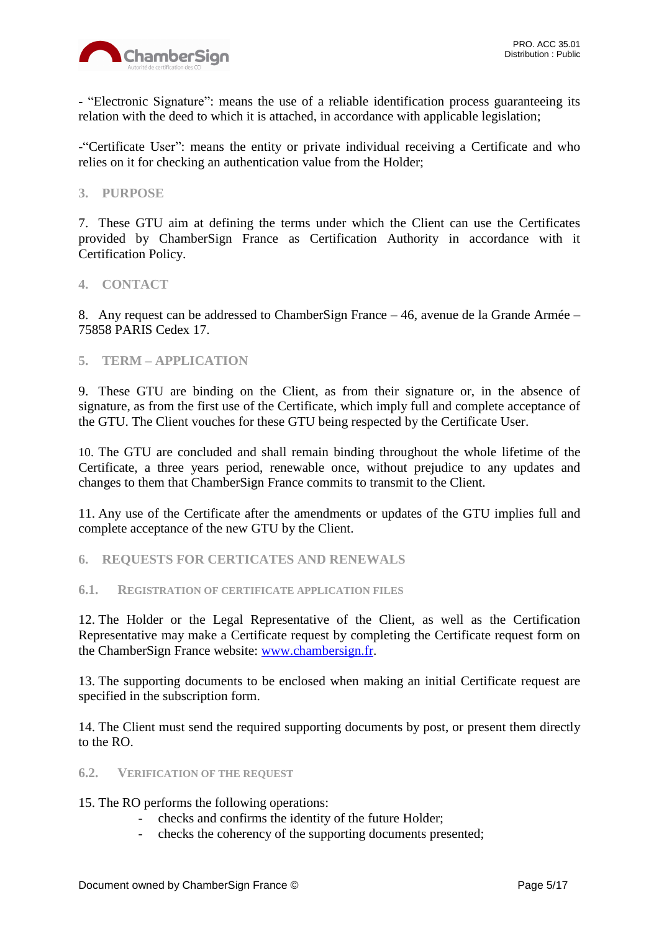

**-** "Electronic Signature": means the use of a reliable identification process guaranteeing its relation with the deed to which it is attached, in accordance with applicable legislation;

-"Certificate User": means the entity or private individual receiving a Certificate and who relies on it for checking an authentication value from the Holder;

## <span id="page-4-0"></span>**3. PURPOSE**

7. These GTU aim at defining the terms under which the Client can use the Certificates provided by ChamberSign France as Certification Authority in accordance with it Certification Policy.

#### <span id="page-4-1"></span>**4. CONTACT**

8. Any request can be addressed to ChamberSign France – 46, avenue de la Grande Armée – 75858 PARIS Cedex 17.

<span id="page-4-2"></span>**5. TERM – APPLICATION**

9. These GTU are binding on the Client, as from their signature or, in the absence of signature, as from the first use of the Certificate, which imply full and complete acceptance of the GTU. The Client vouches for these GTU being respected by the Certificate User.

10. The GTU are concluded and shall remain binding throughout the whole lifetime of the Certificate, a three years period, renewable once, without prejudice to any updates and changes to them that ChamberSign France commits to transmit to the Client.

11. Any use of the Certificate after the amendments or updates of the GTU implies full and complete acceptance of the new GTU by the Client.

- <span id="page-4-3"></span>**6. REQUESTS FOR CERTICATES AND RENEWALS**
- <span id="page-4-4"></span>**6.1. REGISTRATION OF CERTIFICATE APPLICATION FILES**

12. The Holder or the Legal Representative of the Client, as well as the Certification Representative may make a Certificate request by completing the Certificate request form on the ChamberSign France website: [www.chambersign.fr.](http://www.chambersign.fr/)

13. The supporting documents to be enclosed when making an initial Certificate request are specified in the subscription form.

14. The Client must send the required supporting documents by post, or present them directly to the RO.

<span id="page-4-5"></span>**6.2. VERIFICATION OF THE REQUEST**

15. The RO performs the following operations:

- checks and confirms the identity of the future Holder;
- checks the coherency of the supporting documents presented;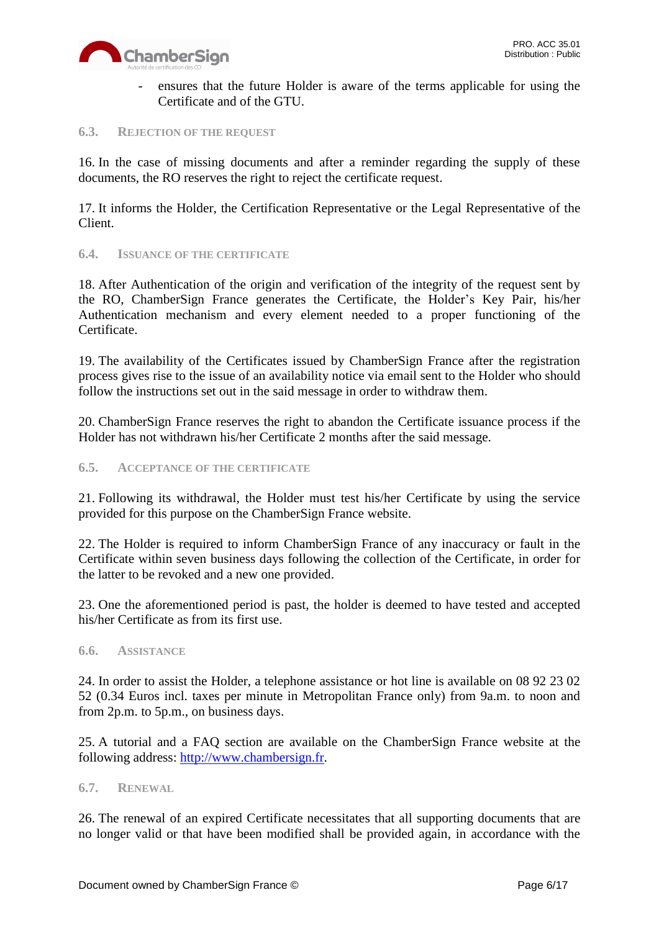

ensures that the future Holder is aware of the terms applicable for using the Certificate and of the GTU.

#### <span id="page-5-0"></span>**6.3. REJECTION OF THE REQUEST**

16. In the case of missing documents and after a reminder regarding the supply of these documents, the RO reserves the right to reject the certificate request.

17. It informs the Holder, the Certification Representative or the Legal Representative of the Client.

<span id="page-5-1"></span>**6.4. ISSUANCE OF THE CERTIFICATE**

18. After Authentication of the origin and verification of the integrity of the request sent by the RO, ChamberSign France generates the Certificate, the Holder's Key Pair, his/her Authentication mechanism and every element needed to a proper functioning of the Certificate.

19. The availability of the Certificates issued by ChamberSign France after the registration process gives rise to the issue of an availability notice via email sent to the Holder who should follow the instructions set out in the said message in order to withdraw them.

20. ChamberSign France reserves the right to abandon the Certificate issuance process if the Holder has not withdrawn his/her Certificate 2 months after the said message.

## <span id="page-5-2"></span>**6.5. ACCEPTANCE OF THE CERTIFICATE**

21. Following its withdrawal, the Holder must test his/her Certificate by using the service provided for this purpose on the ChamberSign France website.

22. The Holder is required to inform ChamberSign France of any inaccuracy or fault in the Certificate within seven business days following the collection of the Certificate, in order for the latter to be revoked and a new one provided.

23. One the aforementioned period is past, the holder is deemed to have tested and accepted his/her Certificate as from its first use.

## <span id="page-5-3"></span>**6.6. ASSISTANCE**

24. In order to assist the Holder, a telephone assistance or hot line is available on 08 92 23 02 52 (0.34 Euros incl. taxes per minute in Metropolitan France only) from 9a.m. to noon and from 2p.m. to 5p.m., on business days.

25. A tutorial and a FAQ section are available on the ChamberSign France website at the following address: [http://www.chambersign.fr.](http://www.chambersign.fr/)

#### <span id="page-5-4"></span>**6.7. RENEWAL**

26. The renewal of an expired Certificate necessitates that all supporting documents that are no longer valid or that have been modified shall be provided again, in accordance with the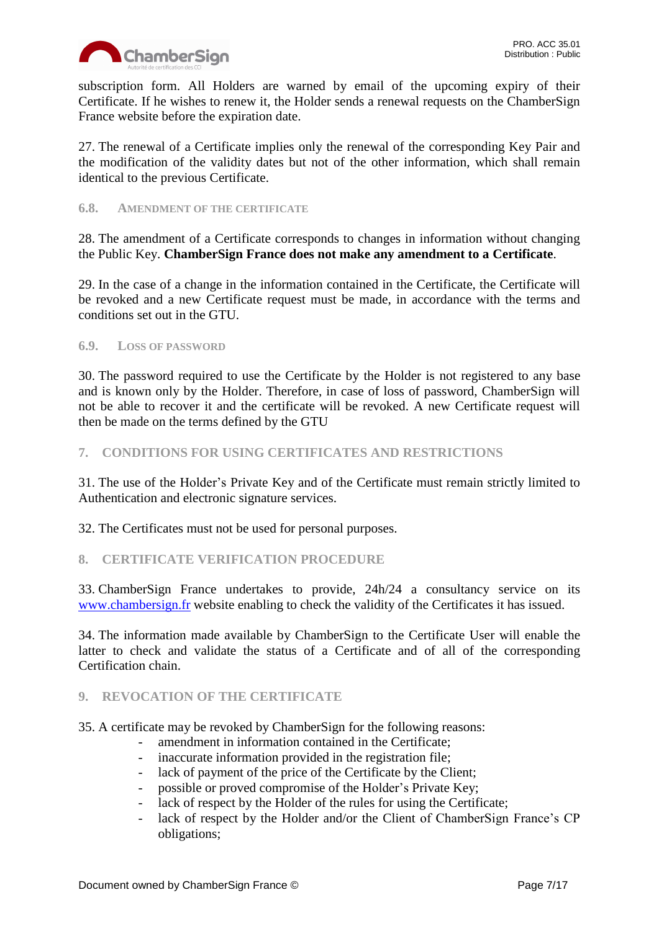

subscription form. All Holders are warned by email of the upcoming expiry of their Certificate. If he wishes to renew it, the Holder sends a renewal requests on the ChamberSign France website before the expiration date.

27. The renewal of a Certificate implies only the renewal of the corresponding Key Pair and the modification of the validity dates but not of the other information, which shall remain identical to the previous Certificate.

#### <span id="page-6-0"></span>**6.8. AMENDMENT OF THE CERTIFICATE**

28. The amendment of a Certificate corresponds to changes in information without changing the Public Key. **ChamberSign France does not make any amendment to a Certificate**.

29. In the case of a change in the information contained in the Certificate, the Certificate will be revoked and a new Certificate request must be made, in accordance with the terms and conditions set out in the GTU.

## <span id="page-6-1"></span>**6.9. LOSS OF PASSWORD**

30. The password required to use the Certificate by the Holder is not registered to any base and is known only by the Holder. Therefore, in case of loss of password, ChamberSign will not be able to recover it and the certificate will be revoked. A new Certificate request will then be made on the terms defined by the GTU

## <span id="page-6-2"></span>**7. CONDITIONS FOR USING CERTIFICATES AND RESTRICTIONS**

31. The use of the Holder's Private Key and of the Certificate must remain strictly limited to Authentication and electronic signature services.

32. The Certificates must not be used for personal purposes.

## <span id="page-6-3"></span>**8. CERTIFICATE VERIFICATION PROCEDURE**

33. ChamberSign France undertakes to provide, 24h/24 a consultancy service on its [www.chambersign.fr](http://www.chambersign.fr/) website enabling to check the validity of the Certificates it has issued.

34. The information made available by ChamberSign to the Certificate User will enable the latter to check and validate the status of a Certificate and of all of the corresponding Certification chain.

## <span id="page-6-4"></span>**9. REVOCATION OF THE CERTIFICATE**

35. A certificate may be revoked by ChamberSign for the following reasons:

- amendment in information contained in the Certificate:
- inaccurate information provided in the registration file;
- lack of payment of the price of the Certificate by the Client;
- possible or proved compromise of the Holder's Private Key;
- lack of respect by the Holder of the rules for using the Certificate;
- lack of respect by the Holder and/or the Client of ChamberSign France's CP obligations;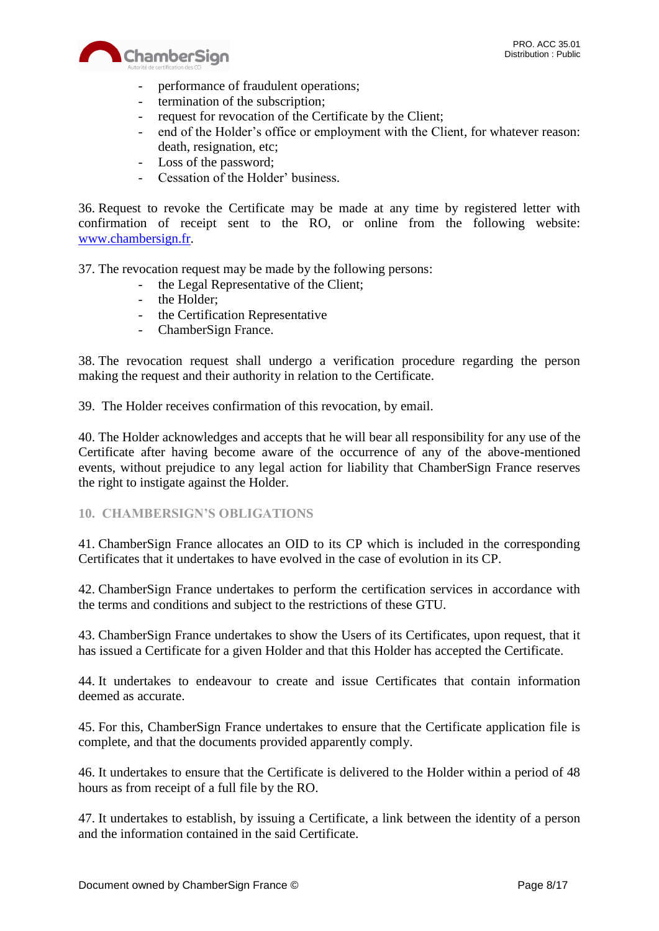

- performance of fraudulent operations;
- termination of the subscription;
- request for revocation of the Certificate by the Client;<br>- end of the Holder's office or employment with the Cli
- end of the Holder's office or employment with the Client, for whatever reason: death, resignation, etc;
- Loss of the password;
- Cessation of the Holder' business.

36. Request to revoke the Certificate may be made at any time by registered letter with confirmation of receipt sent to the RO, or online from the following website: [www.chambersign.fr.](http://www.chambersign.fr/)

37. The revocation request may be made by the following persons:

- the Legal Representative of the Client;
- the Holder;
- the Certification Representative
- ChamberSign France.

38. The revocation request shall undergo a verification procedure regarding the person making the request and their authority in relation to the Certificate.

39. The Holder receives confirmation of this revocation, by email.

40. The Holder acknowledges and accepts that he will bear all responsibility for any use of the Certificate after having become aware of the occurrence of any of the above-mentioned events, without prejudice to any legal action for liability that ChamberSign France reserves the right to instigate against the Holder.

## <span id="page-7-0"></span>**10. CHAMBERSIGN'S OBLIGATIONS**

41. ChamberSign France allocates an OID to its CP which is included in the corresponding Certificates that it undertakes to have evolved in the case of evolution in its CP.

42. ChamberSign France undertakes to perform the certification services in accordance with the terms and conditions and subject to the restrictions of these GTU.

43. ChamberSign France undertakes to show the Users of its Certificates, upon request, that it has issued a Certificate for a given Holder and that this Holder has accepted the Certificate.

44. It undertakes to endeavour to create and issue Certificates that contain information deemed as accurate.

45. For this, ChamberSign France undertakes to ensure that the Certificate application file is complete, and that the documents provided apparently comply.

46. It undertakes to ensure that the Certificate is delivered to the Holder within a period of 48 hours as from receipt of a full file by the RO.

47. It undertakes to establish, by issuing a Certificate, a link between the identity of a person and the information contained in the said Certificate.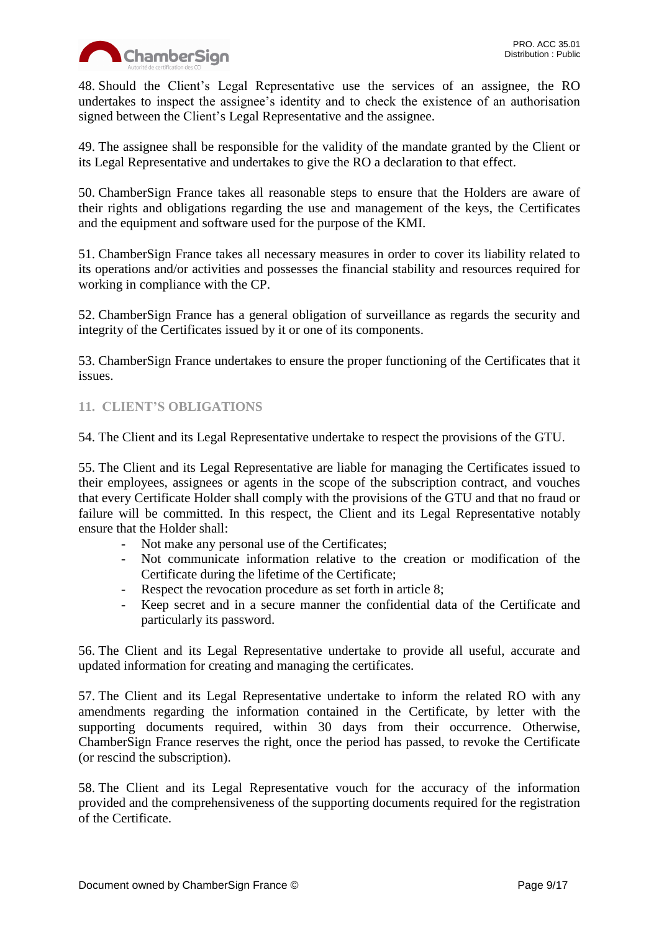

48. Should the Client's Legal Representative use the services of an assignee, the RO undertakes to inspect the assignee's identity and to check the existence of an authorisation signed between the Client's Legal Representative and the assignee.

49. The assignee shall be responsible for the validity of the mandate granted by the Client or its Legal Representative and undertakes to give the RO a declaration to that effect.

50. ChamberSign France takes all reasonable steps to ensure that the Holders are aware of their rights and obligations regarding the use and management of the keys, the Certificates and the equipment and software used for the purpose of the KMI.

51. ChamberSign France takes all necessary measures in order to cover its liability related to its operations and/or activities and possesses the financial stability and resources required for working in compliance with the CP.

52. ChamberSign France has a general obligation of surveillance as regards the security and integrity of the Certificates issued by it or one of its components.

53. ChamberSign France undertakes to ensure the proper functioning of the Certificates that it issues.

## <span id="page-8-0"></span>**11. CLIENT'S OBLIGATIONS**

54. The Client and its Legal Representative undertake to respect the provisions of the GTU.

55. The Client and its Legal Representative are liable for managing the Certificates issued to their employees, assignees or agents in the scope of the subscription contract, and vouches that every Certificate Holder shall comply with the provisions of the GTU and that no fraud or failure will be committed. In this respect, the Client and its Legal Representative notably ensure that the Holder shall:

- Not make any personal use of the Certificates;
- Not communicate information relative to the creation or modification of the Certificate during the lifetime of the Certificate;
- Respect the revocation procedure as set forth in article 8;
- Keep secret and in a secure manner the confidential data of the Certificate and particularly its password.

56. The Client and its Legal Representative undertake to provide all useful, accurate and updated information for creating and managing the certificates.

57. The Client and its Legal Representative undertake to inform the related RO with any amendments regarding the information contained in the Certificate, by letter with the supporting documents required, within 30 days from their occurrence. Otherwise, ChamberSign France reserves the right, once the period has passed, to revoke the Certificate (or rescind the subscription).

58. The Client and its Legal Representative vouch for the accuracy of the information provided and the comprehensiveness of the supporting documents required for the registration of the Certificate.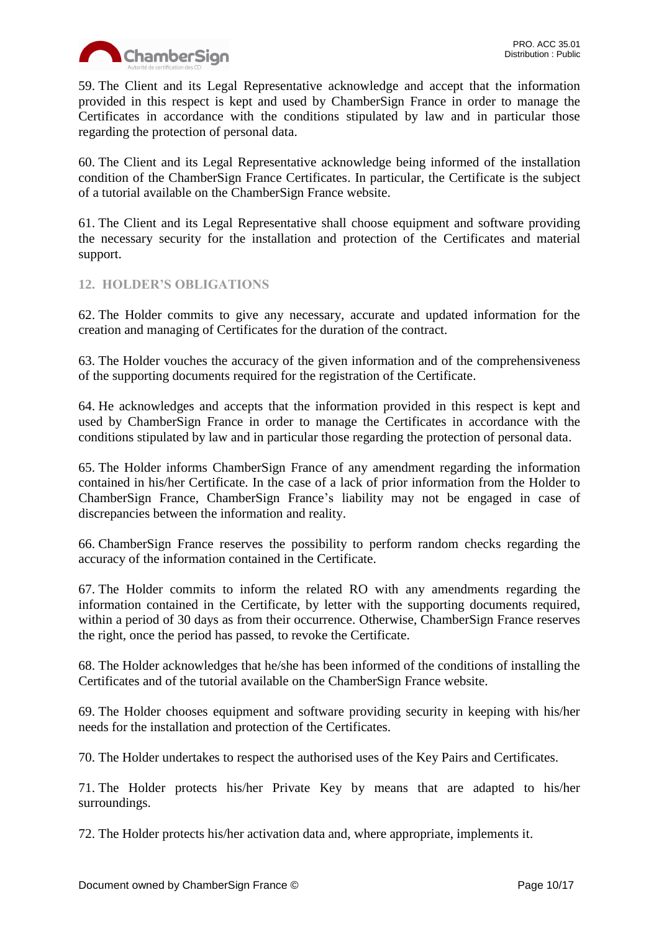

59. The Client and its Legal Representative acknowledge and accept that the information provided in this respect is kept and used by ChamberSign France in order to manage the Certificates in accordance with the conditions stipulated by law and in particular those regarding the protection of personal data.

60. The Client and its Legal Representative acknowledge being informed of the installation condition of the ChamberSign France Certificates. In particular, the Certificate is the subject of a tutorial available on the ChamberSign France website.

61. The Client and its Legal Representative shall choose equipment and software providing the necessary security for the installation and protection of the Certificates and material support.

# <span id="page-9-0"></span>**12. HOLDER'S OBLIGATIONS**

62. The Holder commits to give any necessary, accurate and updated information for the creation and managing of Certificates for the duration of the contract.

63. The Holder vouches the accuracy of the given information and of the comprehensiveness of the supporting documents required for the registration of the Certificate.

64. He acknowledges and accepts that the information provided in this respect is kept and used by ChamberSign France in order to manage the Certificates in accordance with the conditions stipulated by law and in particular those regarding the protection of personal data.

65. The Holder informs ChamberSign France of any amendment regarding the information contained in his/her Certificate. In the case of a lack of prior information from the Holder to ChamberSign France, ChamberSign France's liability may not be engaged in case of discrepancies between the information and reality.

66. ChamberSign France reserves the possibility to perform random checks regarding the accuracy of the information contained in the Certificate.

67. The Holder commits to inform the related RO with any amendments regarding the information contained in the Certificate, by letter with the supporting documents required, within a period of 30 days as from their occurrence. Otherwise, ChamberSign France reserves the right, once the period has passed, to revoke the Certificate.

68. The Holder acknowledges that he/she has been informed of the conditions of installing the Certificates and of the tutorial available on the ChamberSign France website.

69. The Holder chooses equipment and software providing security in keeping with his/her needs for the installation and protection of the Certificates.

70. The Holder undertakes to respect the authorised uses of the Key Pairs and Certificates.

71. The Holder protects his/her Private Key by means that are adapted to his/her surroundings.

72. The Holder protects his/her activation data and, where appropriate, implements it.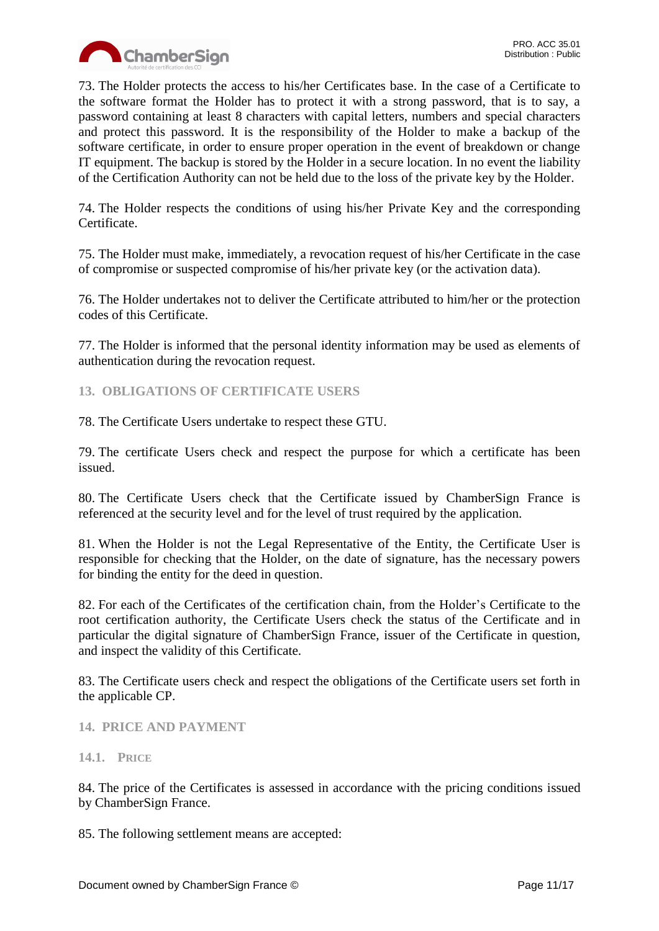

73. The Holder protects the access to his/her Certificates base. In the case of a Certificate to the software format the Holder has to protect it with a strong password, that is to say, a password containing at least 8 characters with capital letters, numbers and special characters and protect this password. It is the responsibility of the Holder to make a backup of the software certificate, in order to ensure proper operation in the event of breakdown or change IT equipment. The backup is stored by the Holder in a secure location. In no event the liability of the Certification Authority can not be held due to the loss of the private key by the Holder.

74. The Holder respects the conditions of using his/her Private Key and the corresponding Certificate.

75. The Holder must make, immediately, a revocation request of his/her Certificate in the case of compromise or suspected compromise of his/her private key (or the activation data).

76. The Holder undertakes not to deliver the Certificate attributed to him/her or the protection codes of this Certificate.

77. The Holder is informed that the personal identity information may be used as elements of authentication during the revocation request.

<span id="page-10-0"></span>**13. OBLIGATIONS OF CERTIFICATE USERS**

78. The Certificate Users undertake to respect these GTU.

79. The certificate Users check and respect the purpose for which a certificate has been issued.

80. The Certificate Users check that the Certificate issued by ChamberSign France is referenced at the security level and for the level of trust required by the application.

81. When the Holder is not the Legal Representative of the Entity, the Certificate User is responsible for checking that the Holder, on the date of signature, has the necessary powers for binding the entity for the deed in question.

82. For each of the Certificates of the certification chain, from the Holder's Certificate to the root certification authority, the Certificate Users check the status of the Certificate and in particular the digital signature of ChamberSign France, issuer of the Certificate in question, and inspect the validity of this Certificate.

83. The Certificate users check and respect the obligations of the Certificate users set forth in the applicable CP.

<span id="page-10-1"></span>**14. PRICE AND PAYMENT**

<span id="page-10-2"></span>**14.1. PRICE**

84. The price of the Certificates is assessed in accordance with the pricing conditions issued by ChamberSign France.

85. The following settlement means are accepted: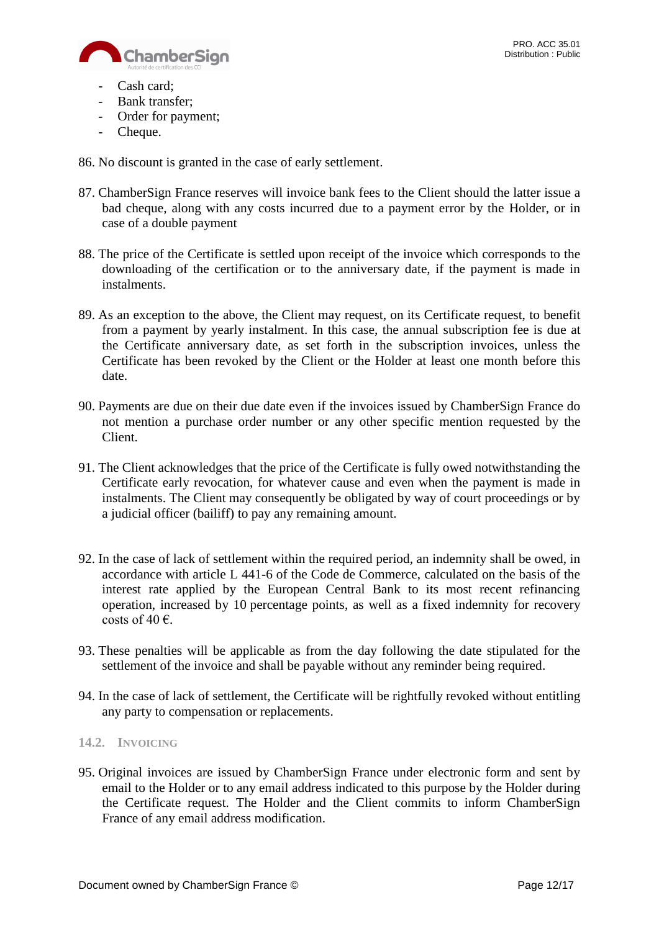

- Cash card;
- Bank transfer;
- Order for payment;
- Cheque.

86. No discount is granted in the case of early settlement.

- 87. ChamberSign France reserves will invoice bank fees to the Client should the latter issue a bad cheque, along with any costs incurred due to a payment error by the Holder, or in case of a double payment
- 88. The price of the Certificate is settled upon receipt of the invoice which corresponds to the downloading of the certification or to the anniversary date, if the payment is made in instalments.
- 89. As an exception to the above, the Client may request, on its Certificate request, to benefit from a payment by yearly instalment. In this case, the annual subscription fee is due at the Certificate anniversary date, as set forth in the subscription invoices, unless the Certificate has been revoked by the Client or the Holder at least one month before this date.
- 90. Payments are due on their due date even if the invoices issued by ChamberSign France do not mention a purchase order number or any other specific mention requested by the Client.
- 91. The Client acknowledges that the price of the Certificate is fully owed notwithstanding the Certificate early revocation, for whatever cause and even when the payment is made in instalments. The Client may consequently be obligated by way of court proceedings or by a judicial officer (bailiff) to pay any remaining amount.
- 92. In the case of lack of settlement within the required period, an indemnity shall be owed, in accordance with article L 441-6 of the Code de Commerce, calculated on the basis of the interest rate applied by the European Central Bank to its most recent refinancing operation, increased by 10 percentage points, as well as a fixed indemnity for recovery costs of 40  $\epsilon$ .
- 93. These penalties will be applicable as from the day following the date stipulated for the settlement of the invoice and shall be payable without any reminder being required.
- 94. In the case of lack of settlement, the Certificate will be rightfully revoked without entitling any party to compensation or replacements.

#### <span id="page-11-0"></span>**14.2. INVOICING**

95. Original invoices are issued by ChamberSign France under electronic form and sent by email to the Holder or to any email address indicated to this purpose by the Holder during the Certificate request. The Holder and the Client commits to inform ChamberSign France of any email address modification.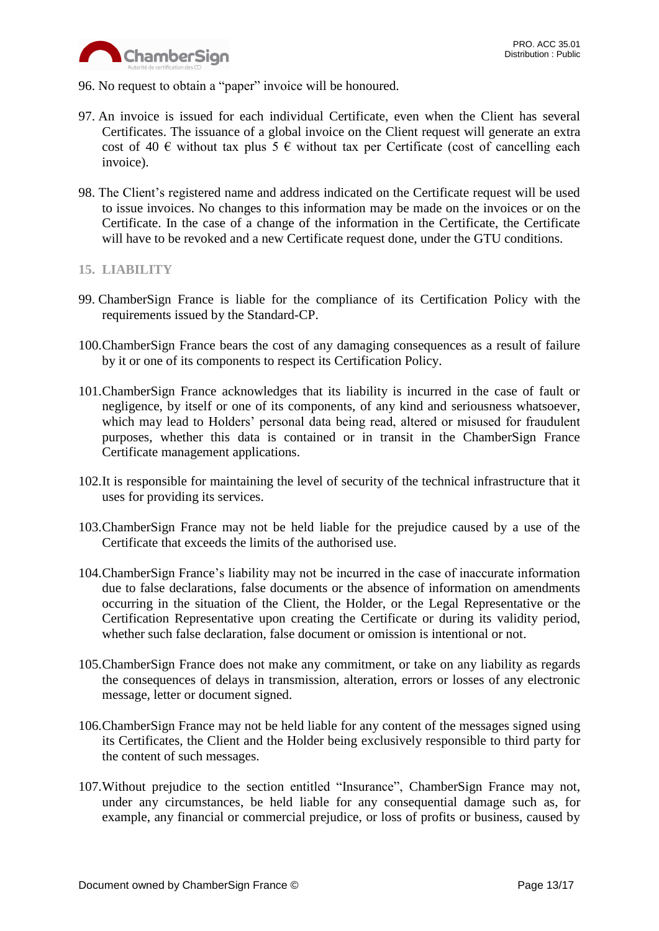

- 96. No request to obtain a "paper" invoice will be honoured.
- 97. An invoice is issued for each individual Certificate, even when the Client has several Certificates. The issuance of a global invoice on the Client request will generate an extra cost of 40  $\epsilon$  without tax plus 5  $\epsilon$  without tax per Certificate (cost of cancelling each invoice).
- 98. The Client's registered name and address indicated on the Certificate request will be used to issue invoices. No changes to this information may be made on the invoices or on the Certificate. In the case of a change of the information in the Certificate, the Certificate will have to be revoked and a new Certificate request done, under the GTU conditions.

#### <span id="page-12-0"></span>**15. LIABILITY**

- 99. ChamberSign France is liable for the compliance of its Certification Policy with the requirements issued by the Standard-CP.
- 100.ChamberSign France bears the cost of any damaging consequences as a result of failure by it or one of its components to respect its Certification Policy.
- 101.ChamberSign France acknowledges that its liability is incurred in the case of fault or negligence, by itself or one of its components, of any kind and seriousness whatsoever, which may lead to Holders' personal data being read, altered or misused for fraudulent purposes, whether this data is contained or in transit in the ChamberSign France Certificate management applications.
- 102.It is responsible for maintaining the level of security of the technical infrastructure that it uses for providing its services.
- 103.ChamberSign France may not be held liable for the prejudice caused by a use of the Certificate that exceeds the limits of the authorised use.
- 104.ChamberSign France's liability may not be incurred in the case of inaccurate information due to false declarations, false documents or the absence of information on amendments occurring in the situation of the Client, the Holder, or the Legal Representative or the Certification Representative upon creating the Certificate or during its validity period, whether such false declaration, false document or omission is intentional or not.
- 105.ChamberSign France does not make any commitment, or take on any liability as regards the consequences of delays in transmission, alteration, errors or losses of any electronic message, letter or document signed.
- 106.ChamberSign France may not be held liable for any content of the messages signed using its Certificates, the Client and the Holder being exclusively responsible to third party for the content of such messages.
- 107.Without prejudice to the section entitled "Insurance", ChamberSign France may not, under any circumstances, be held liable for any consequential damage such as, for example, any financial or commercial prejudice, or loss of profits or business, caused by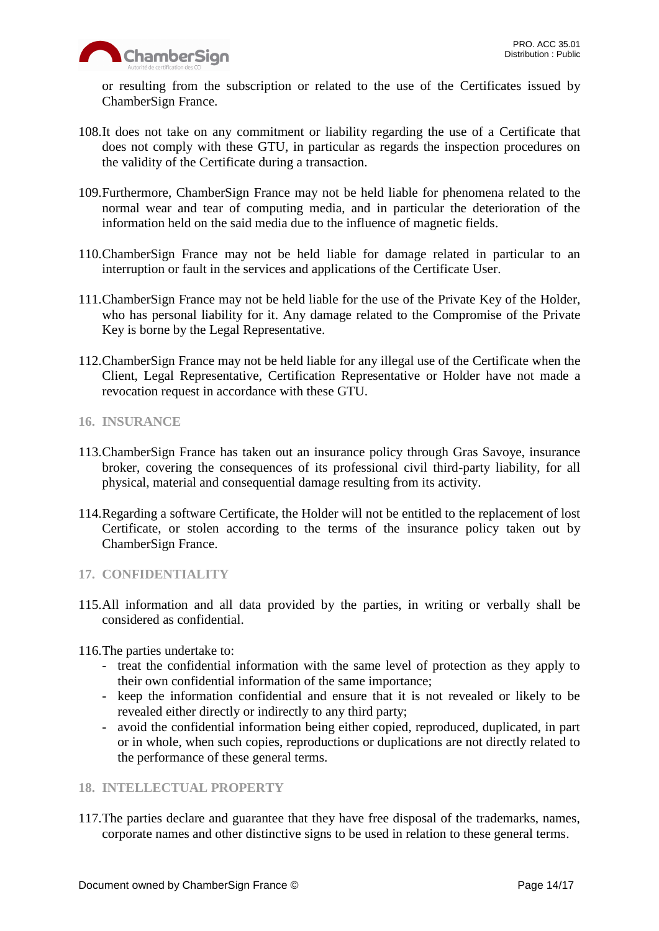

or resulting from the subscription or related to the use of the Certificates issued by ChamberSign France.

- 108.It does not take on any commitment or liability regarding the use of a Certificate that does not comply with these GTU, in particular as regards the inspection procedures on the validity of the Certificate during a transaction.
- 109.Furthermore, ChamberSign France may not be held liable for phenomena related to the normal wear and tear of computing media, and in particular the deterioration of the information held on the said media due to the influence of magnetic fields.
- 110.ChamberSign France may not be held liable for damage related in particular to an interruption or fault in the services and applications of the Certificate User.
- 111.ChamberSign France may not be held liable for the use of the Private Key of the Holder, who has personal liability for it. Any damage related to the Compromise of the Private Key is borne by the Legal Representative.
- 112.ChamberSign France may not be held liable for any illegal use of the Certificate when the Client, Legal Representative, Certification Representative or Holder have not made a revocation request in accordance with these GTU.
- <span id="page-13-0"></span>**16. INSURANCE**
- 113.ChamberSign France has taken out an insurance policy through Gras Savoye, insurance broker, covering the consequences of its professional civil third-party liability, for all physical, material and consequential damage resulting from its activity.
- 114.Regarding a software Certificate, the Holder will not be entitled to the replacement of lost Certificate, or stolen according to the terms of the insurance policy taken out by ChamberSign France.

# <span id="page-13-1"></span>**17. CONFIDENTIALITY**

115.All information and all data provided by the parties, in writing or verbally shall be considered as confidential.

116.The parties undertake to:

- treat the confidential information with the same level of protection as they apply to their own confidential information of the same importance;
- keep the information confidential and ensure that it is not revealed or likely to be revealed either directly or indirectly to any third party;
- avoid the confidential information being either copied, reproduced, duplicated, in part or in whole, when such copies, reproductions or duplications are not directly related to the performance of these general terms.

# <span id="page-13-2"></span>**18. INTELLECTUAL PROPERTY**

117.The parties declare and guarantee that they have free disposal of the trademarks, names, corporate names and other distinctive signs to be used in relation to these general terms.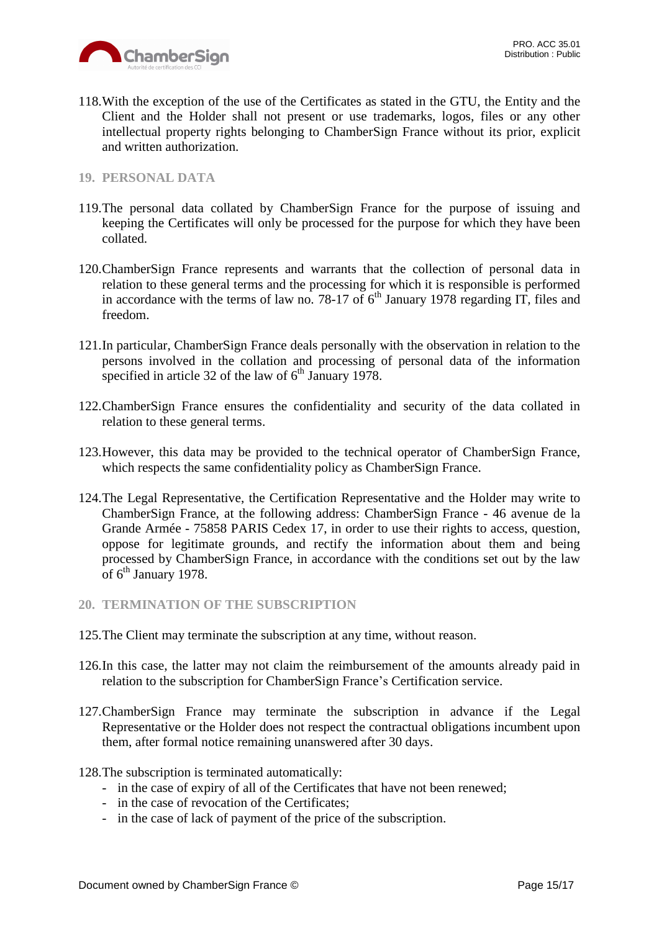

118.With the exception of the use of the Certificates as stated in the GTU, the Entity and the Client and the Holder shall not present or use trademarks, logos, files or any other intellectual property rights belonging to ChamberSign France without its prior, explicit and written authorization.

## <span id="page-14-0"></span>**19. PERSONAL DATA**

- 119.The personal data collated by ChamberSign France for the purpose of issuing and keeping the Certificates will only be processed for the purpose for which they have been collated.
- 120.ChamberSign France represents and warrants that the collection of personal data in relation to these general terms and the processing for which it is responsible is performed in accordance with the terms of law no. 78-17 of  $6<sup>th</sup>$  January 1978 regarding IT, files and freedom.
- 121.In particular, ChamberSign France deals personally with the observation in relation to the persons involved in the collation and processing of personal data of the information specified in article 32 of the law of  $6<sup>th</sup>$  January 1978.
- 122.ChamberSign France ensures the confidentiality and security of the data collated in relation to these general terms.
- 123.However, this data may be provided to the technical operator of ChamberSign France, which respects the same confidentiality policy as ChamberSign France.
- 124.The Legal Representative, the Certification Representative and the Holder may write to ChamberSign France, at the following address: ChamberSign France - 46 avenue de la Grande Armée - 75858 PARIS Cedex 17, in order to use their rights to access, question, oppose for legitimate grounds, and rectify the information about them and being processed by ChamberSign France, in accordance with the conditions set out by the law of 6<sup>th</sup> January 1978.
- <span id="page-14-1"></span>**20. TERMINATION OF THE SUBSCRIPTION**
- 125.The Client may terminate the subscription at any time, without reason.
- 126.In this case, the latter may not claim the reimbursement of the amounts already paid in relation to the subscription for ChamberSign France's Certification service.
- 127.ChamberSign France may terminate the subscription in advance if the Legal Representative or the Holder does not respect the contractual obligations incumbent upon them, after formal notice remaining unanswered after 30 days.
- 128.The subscription is terminated automatically:
	- in the case of expiry of all of the Certificates that have not been renewed;
	- in the case of revocation of the Certificates;
	- in the case of lack of payment of the price of the subscription.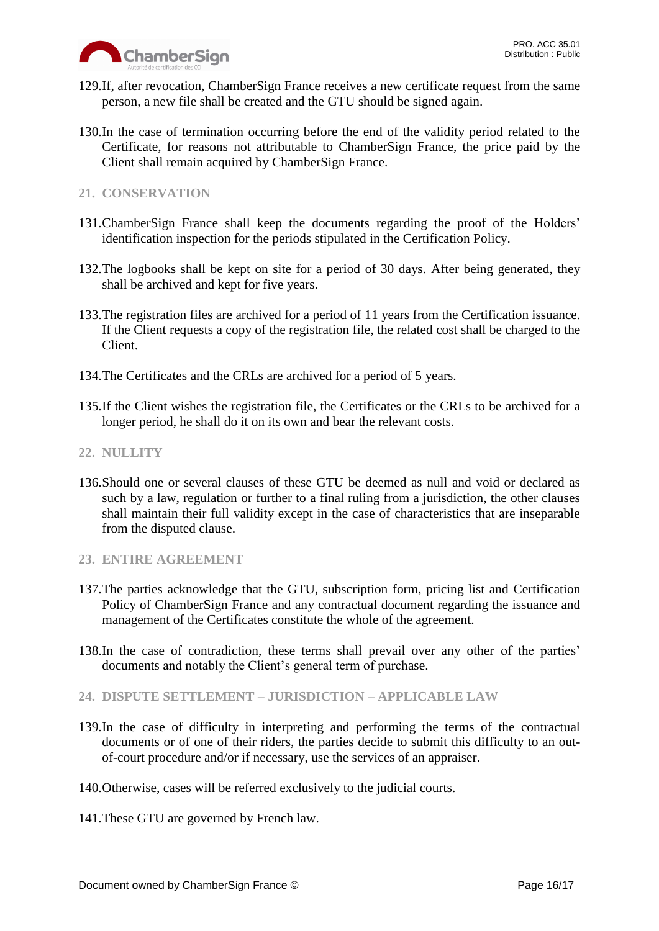

- 129.If, after revocation, ChamberSign France receives a new certificate request from the same person, a new file shall be created and the GTU should be signed again.
- 130.In the case of termination occurring before the end of the validity period related to the Certificate, for reasons not attributable to ChamberSign France, the price paid by the Client shall remain acquired by ChamberSign France.

# <span id="page-15-0"></span>**21. CONSERVATION**

- 131.ChamberSign France shall keep the documents regarding the proof of the Holders' identification inspection for the periods stipulated in the Certification Policy.
- 132.The logbooks shall be kept on site for a period of 30 days. After being generated, they shall be archived and kept for five years.
- 133.The registration files are archived for a period of 11 years from the Certification issuance. If the Client requests a copy of the registration file, the related cost shall be charged to the Client.
- 134.The Certificates and the CRLs are archived for a period of 5 years.
- 135.If the Client wishes the registration file, the Certificates or the CRLs to be archived for a longer period, he shall do it on its own and bear the relevant costs.

## <span id="page-15-1"></span>**22. NULLITY**

136.Should one or several clauses of these GTU be deemed as null and void or declared as such by a law, regulation or further to a final ruling from a jurisdiction, the other clauses shall maintain their full validity except in the case of characteristics that are inseparable from the disputed clause.

## <span id="page-15-2"></span>**23. ENTIRE AGREEMENT**

- 137.The parties acknowledge that the GTU, subscription form, pricing list and Certification Policy of ChamberSign France and any contractual document regarding the issuance and management of the Certificates constitute the whole of the agreement.
- 138.In the case of contradiction, these terms shall prevail over any other of the parties' documents and notably the Client's general term of purchase.
- <span id="page-15-3"></span>**24. DISPUTE SETTLEMENT – JURISDICTION – APPLICABLE LAW**
- 139.In the case of difficulty in interpreting and performing the terms of the contractual documents or of one of their riders, the parties decide to submit this difficulty to an outof-court procedure and/or if necessary, use the services of an appraiser.
- 140.Otherwise, cases will be referred exclusively to the judicial courts.
- 141.These GTU are governed by French law.